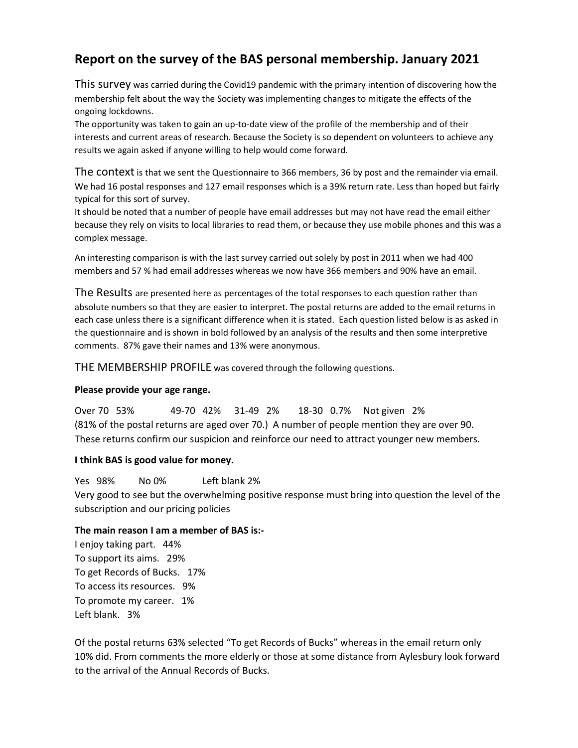# Report on the survey of the BAS personal membership. January 2021

This survey was carried during the Covid19 pandemic with the primary intention of discovering how the membership felt about the way the Society was implementing changes to mitigate the effects of the ongoing lockdowns.

The opportunity was taken to gain an up-to-date view of the profile of the membership and of their interests and current areas of research. Because the Society is so dependent on volunteers to achieve any results we again asked if anyone willing to help would come forward.

The context is that we sent the Questionnaire to 366 members, 36 by post and the remainder via email. We had 16 postal responses and 127 email responses which is a 39% return rate. Less than hoped but fairly typical for this sort of survey.

It should be noted that a number of people have email addresses but may not have read the email either because they rely on visits to local libraries to read them, or because they use mobile phones and this was a complex message.

An interesting comparison is with the last survey carried out solely by post in 2011 when we had 400 members and 57 % had email addresses whereas we now have 366 members and 90% have an email.

The Results are presented here as percentages of the total responses to each question rather than absolute numbers so that they are easier to interpret. The postal returns are added to the email returns in each case unless there is a significant difference when it is stated. Each question listed below is as asked in the questionnaire and is shown in bold followed by an analysis of the results and then some interpretive comments. 87% gave their names and 13% were anonymous.

THE MEMBERSHIP PROFILE was covered through the following questions.

# Please provide your age range.

Over 70 53% 49-70 42% 31-49 2% 18-30 0.7% Not given 2% (81% of the postal returns are aged over 70.) A number of people mention they are over 90. These returns confirm our suspicion and reinforce our need to attract younger new members.

# I think BAS is good value for money.

Yes 98% No 0% Left blank 2% Very good to see but the overwhelming positive response must bring into question the level of the subscription and our pricing policies

# The main reason I am a member of BAS is:-

I enjoy taking part. 44% To support its aims. 29% To get Records of Bucks. 17% To access its resources. 9% To promote my career. 1% Left blank. 3%

Of the postal returns 63% selected "To get Records of Bucks" whereas in the email return only 10% did. From comments the more elderly or those at some distance from Aylesbury look forward to the arrival of the Annual Records of Bucks.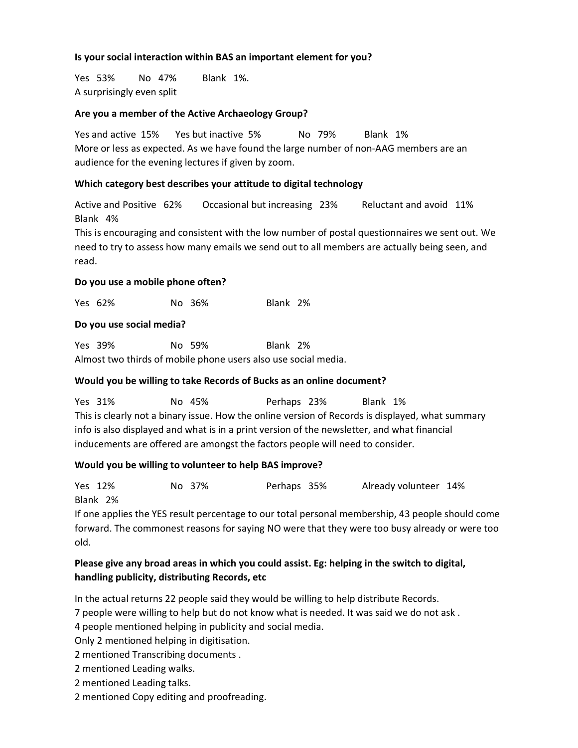# Is your social interaction within BAS an important element for you?

Yes 53% No 47% Blank 1%. A surprisingly even split

# Are you a member of the Active Archaeology Group?

Yes and active 15% Yes but inactive 5% No 79% Blank 1% More or less as expected. As we have found the large number of non-AAG members are an audience for the evening lectures if given by zoom.

# Which category best describes your attitude to digital technology

Active and Positive 62% Occasional but increasing 23% Reluctant and avoid 11% Blank 4%

This is encouraging and consistent with the low number of postal questionnaires we sent out. We need to try to assess how many emails we send out to all members are actually being seen, and read.

# Do you use a mobile phone often?

Yes 62% No 36% Blank 2%

# Do you use social media?

|                                                                | Yes 39% |  | No 59% | Blank 2% |  |  |  |  |  |
|----------------------------------------------------------------|---------|--|--------|----------|--|--|--|--|--|
| Almost two thirds of mobile phone users also use social media. |         |  |        |          |  |  |  |  |  |

# Would you be willing to take Records of Bucks as an online document?

Yes 31% No 45% Perhaps 23% Blank 1% This is clearly not a binary issue. How the online version of Records is displayed, what summary info is also displayed and what is in a print version of the newsletter, and what financial inducements are offered are amongst the factors people will need to consider.

# Would you be willing to volunteer to help BAS improve?

Yes 12% No 37% Perhaps 35% Already volunteer 14% Blank 2%

If one applies the YES result percentage to our total personal membership, 43 people should come forward. The commonest reasons for saying NO were that they were too busy already or were too old.

# Please give any broad areas in which you could assist. Eg: helping in the switch to digital, handling publicity, distributing Records, etc

In the actual returns 22 people said they would be willing to help distribute Records.

7 people were willing to help but do not know what is needed. It was said we do not ask .

4 people mentioned helping in publicity and social media.

Only 2 mentioned helping in digitisation.

2 mentioned Transcribing documents .

2 mentioned Leading walks.

2 mentioned Leading talks.

2 mentioned Copy editing and proofreading.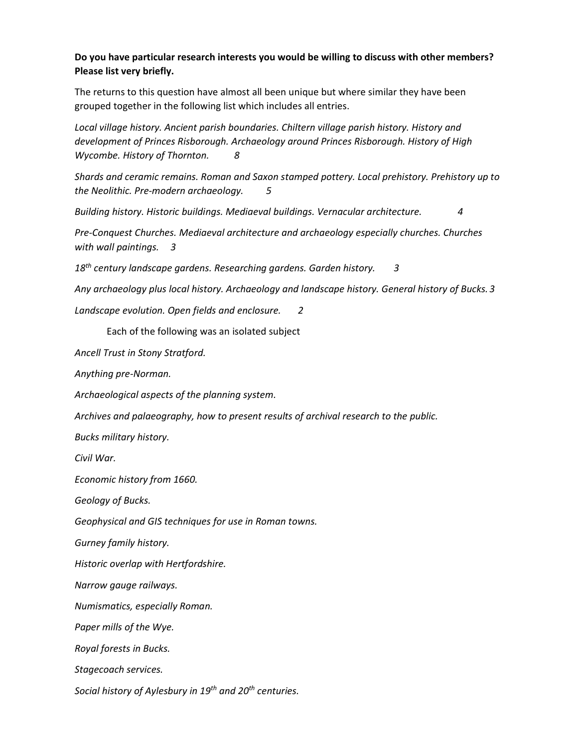# Do you have particular research interests you would be willing to discuss with other members? Please list very briefly.

The returns to this question have almost all been unique but where similar they have been grouped together in the following list which includes all entries.

Local village history. Ancient parish boundaries. Chiltern village parish history. History and development of Princes Risborough. Archaeology around Princes Risborough. History of High Wycombe. History of Thornton. 8

Shards and ceramic remains. Roman and Saxon stamped pottery. Local prehistory. Prehistory up to the Neolithic. Pre-modern archaeology. 5

Building history. Historic buildings. Mediaeval buildings. Vernacular architecture. 4

Pre-Conquest Churches. Mediaeval architecture and archaeology especially churches. Churches with wall paintings. 3

 $18<sup>th</sup>$  century landscape gardens. Researching gardens. Garden history. 3

Any archaeology plus local history. Archaeology and landscape history. General history of Bucks. 3

Landscape evolution. Open fields and enclosure. 2

Each of the following was an isolated subject

Ancell Trust in Stony Stratford.

Anything pre-Norman.

Archaeological aspects of the planning system.

Archives and palaeography, how to present results of archival research to the public.

Bucks military history.

Civil War.

Economic history from 1660.

Geology of Bucks.

Geophysical and GIS techniques for use in Roman towns.

Gurney family history.

Historic overlap with Hertfordshire.

Narrow gauge railways.

Numismatics, especially Roman.

Paper mills of the Wye.

Royal forests in Bucks.

Stagecoach services.

Social history of Aylesbury in 19<sup>th</sup> and 20<sup>th</sup> centuries.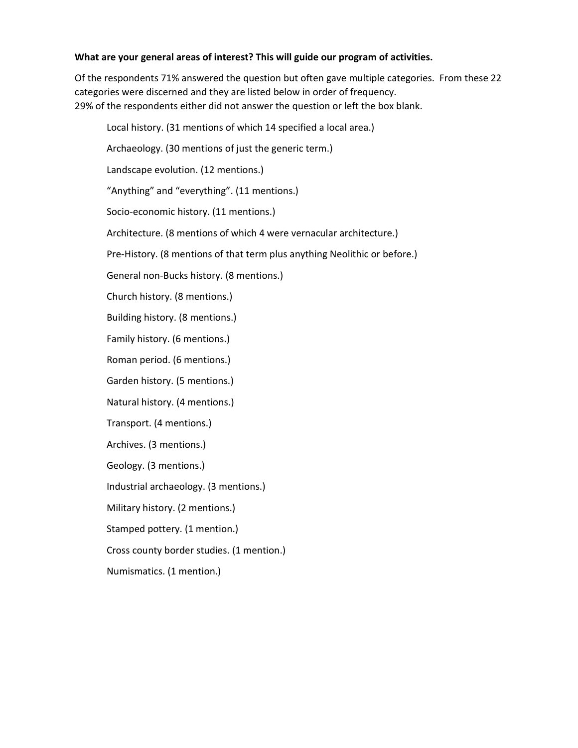# What are your general areas of interest? This will guide our program of activities.

Of the respondents 71% answered the question but often gave multiple categories. From these 22 categories were discerned and they are listed below in order of frequency. 29% of the respondents either did not answer the question or left the box blank.

Local history. (31 mentions of which 14 specified a local area.) Archaeology. (30 mentions of just the generic term.) Landscape evolution. (12 mentions.) "Anything" and "everything". (11 mentions.) Socio-economic history. (11 mentions.) Architecture. (8 mentions of which 4 were vernacular architecture.) Pre-History. (8 mentions of that term plus anything Neolithic or before.) General non-Bucks history. (8 mentions.) Church history. (8 mentions.) Building history. (8 mentions.) Family history. (6 mentions.) Roman period. (6 mentions.) Garden history. (5 mentions.) Natural history. (4 mentions.) Transport. (4 mentions.) Archives. (3 mentions.) Geology. (3 mentions.) Industrial archaeology. (3 mentions.) Military history. (2 mentions.) Stamped pottery. (1 mention.) Cross county border studies. (1 mention.)

Numismatics. (1 mention.)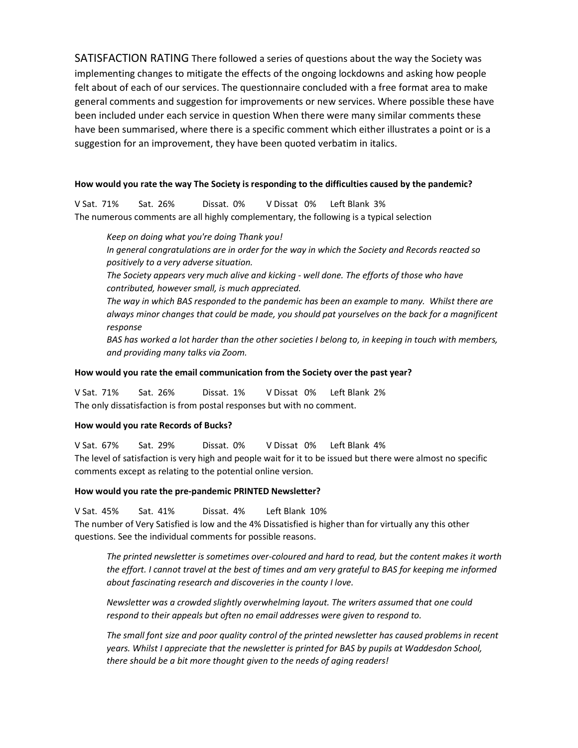SATISFACTION RATING There followed a series of questions about the way the Society was implementing changes to mitigate the effects of the ongoing lockdowns and asking how people felt about of each of our services. The questionnaire concluded with a free format area to make general comments and suggestion for improvements or new services. Where possible these have been included under each service in question When there were many similar comments these have been summarised, where there is a specific comment which either illustrates a point or is a suggestion for an improvement, they have been quoted verbatim in italics.

#### How would you rate the way The Society is responding to the difficulties caused by the pandemic?

V Sat. 71% Sat. 26% Dissat. 0% V Dissat 0% Left Blank 3% The numerous comments are all highly complementary, the following is a typical selection

Keep on doing what you're doing Thank you!

In general congratulations are in order for the way in which the Society and Records reacted so positively to a very adverse situation.

The Society appears very much alive and kicking - well done. The efforts of those who have contributed, however small, is much appreciated.

The way in which BAS responded to the pandemic has been an example to many. Whilst there are always minor changes that could be made, you should pat yourselves on the back for a magnificent response

BAS has worked a lot harder than the other societies I belong to, in keeping in touch with members, and providing many talks via Zoom.

#### How would you rate the email communication from the Society over the past year?

V Sat. 71% Sat. 26% Dissat. 1% V Dissat 0% Left Blank 2% The only dissatisfaction is from postal responses but with no comment.

#### How would you rate Records of Bucks?

V Sat. 67% Sat. 29% Dissat. 0% V Dissat 0% Left Blank 4% The level of satisfaction is very high and people wait for it to be issued but there were almost no specific comments except as relating to the potential online version.

#### How would you rate the pre-pandemic PRINTED Newsletter?

V Sat. 45% Sat. 41% Dissat. 4% Left Blank 10%

The number of Very Satisfied is low and the 4% Dissatisfied is higher than for virtually any this other questions. See the individual comments for possible reasons.

The printed newsletter is sometimes over-coloured and hard to read, but the content makes it worth the effort. I cannot travel at the best of times and am very grateful to BAS for keeping me informed about fascinating research and discoveries in the county I love.

Newsletter was a crowded slightly overwhelming layout. The writers assumed that one could respond to their appeals but often no email addresses were given to respond to.

The small font size and poor quality control of the printed newsletter has caused problems in recent years. Whilst I appreciate that the newsletter is printed for BAS by pupils at Waddesdon School, there should be a bit more thought given to the needs of aging readers!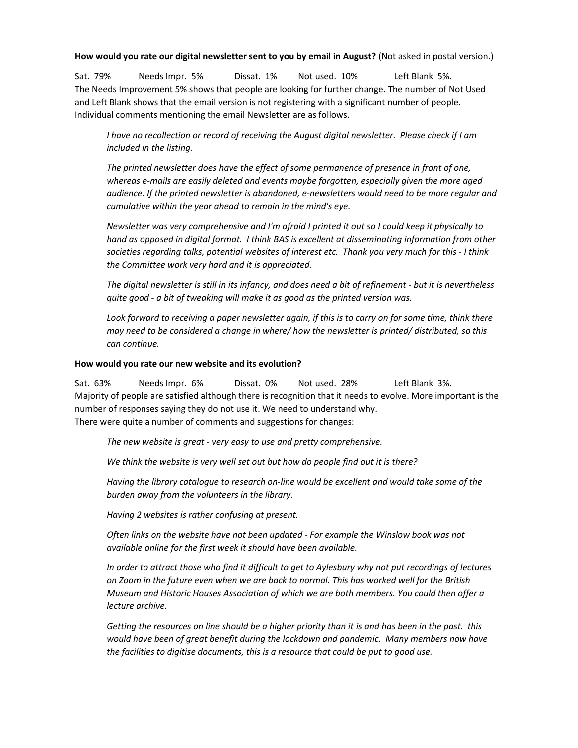How would you rate our digital newsletter sent to you by email in August? (Not asked in postal version.)

Sat. 79% Needs Impr. 5% Dissat. 1% Not used. 10% Left Blank 5%. The Needs Improvement 5% shows that people are looking for further change. The number of Not Used and Left Blank shows that the email version is not registering with a significant number of people. Individual comments mentioning the email Newsletter are as follows.

I have no recollection or record of receiving the August digital newsletter. Please check if I am included in the listing.

The printed newsletter does have the effect of some permanence of presence in front of one, whereas e-mails are easily deleted and events maybe forgotten, especially given the more aged audience. If the printed newsletter is abandoned, e-newsletters would need to be more regular and cumulative within the year ahead to remain in the mind's eye.

Newsletter was very comprehensive and I'm afraid I printed it out so I could keep it physically to hand as opposed in digital format. I think BAS is excellent at disseminating information from other societies regarding talks, potential websites of interest etc. Thank you very much for this - I think the Committee work very hard and it is appreciated.

The digital newsletter is still in its infancy, and does need a bit of refinement - but it is nevertheless quite good - a bit of tweaking will make it as good as the printed version was.

Look forward to receiving a paper newsletter again, if this is to carry on for some time, think there may need to be considered a change in where/ how the newsletter is printed/ distributed, so this can continue.

#### How would you rate our new website and its evolution?

Sat. 63% Needs Impr. 6% Dissat. 0% Not used. 28% Left Blank 3%. Majority of people are satisfied although there is recognition that it needs to evolve. More important is the number of responses saying they do not use it. We need to understand why. There were quite a number of comments and suggestions for changes:

The new website is great - very easy to use and pretty comprehensive.

We think the website is very well set out but how do people find out it is there?

Having the library catalogue to research on-line would be excellent and would take some of the burden away from the volunteers in the library.

Having 2 websites is rather confusing at present.

Often links on the website have not been updated - For example the Winslow book was not available online for the first week it should have been available.

In order to attract those who find it difficult to get to Aylesbury why not put recordings of lectures on Zoom in the future even when we are back to normal. This has worked well for the British Museum and Historic Houses Association of which we are both members. You could then offer a lecture archive.

Getting the resources on line should be a higher priority than it is and has been in the past. this would have been of great benefit during the lockdown and pandemic. Many members now have the facilities to digitise documents, this is a resource that could be put to good use.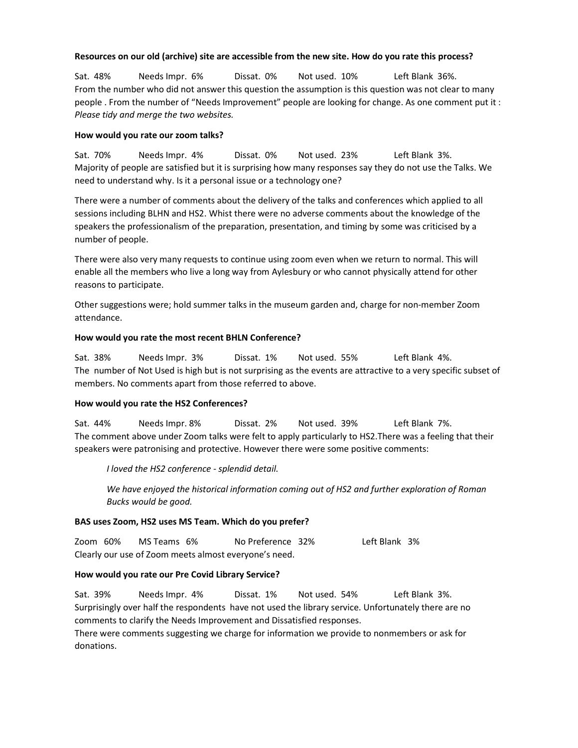#### Resources on our old (archive) site are accessible from the new site. How do you rate this process?

Sat. 48% Needs Impr. 6% Dissat. 0% Not used. 10% Left Blank 36%. From the number who did not answer this question the assumption is this question was not clear to many people . From the number of "Needs Improvement" people are looking for change. As one comment put it : Please tidy and merge the two websites.

#### How would you rate our zoom talks?

Sat. 70% Needs Impr. 4% Dissat. 0% Not used. 23% Left Blank 3%. Majority of people are satisfied but it is surprising how many responses say they do not use the Talks. We need to understand why. Is it a personal issue or a technology one?

There were a number of comments about the delivery of the talks and conferences which applied to all sessions including BLHN and HS2. Whist there were no adverse comments about the knowledge of the speakers the professionalism of the preparation, presentation, and timing by some was criticised by a number of people.

There were also very many requests to continue using zoom even when we return to normal. This will enable all the members who live a long way from Aylesbury or who cannot physically attend for other reasons to participate.

Other suggestions were; hold summer talks in the museum garden and, charge for non-member Zoom attendance.

#### How would you rate the most recent BHLN Conference?

Sat. 38% Needs Impr. 3% Dissat. 1% Not used. 55% Left Blank 4%. The number of Not Used is high but is not surprising as the events are attractive to a very specific subset of members. No comments apart from those referred to above.

#### How would you rate the HS2 Conferences?

Sat. 44% Needs Impr. 8% Dissat. 2% Not used. 39% Left Blank 7%. The comment above under Zoom talks were felt to apply particularly to HS2.There was a feeling that their speakers were patronising and protective. However there were some positive comments:

I loved the HS2 conference - splendid detail.

We have enjoyed the historical information coming out of HS2 and further exploration of Roman Bucks would be good.

#### BAS uses Zoom, HS2 uses MS Team. Which do you prefer?

| Zoom $60\%$                                           |  | MS Teams 6% |  | No Preference 32% |  | Left Blank 3% |  |  |  |  |  |
|-------------------------------------------------------|--|-------------|--|-------------------|--|---------------|--|--|--|--|--|
| Clearly our use of Zoom meets almost everyone's need. |  |             |  |                   |  |               |  |  |  |  |  |

#### How would you rate our Pre Covid Library Service?

Sat. 39% Needs Impr. 4% Dissat. 1% Not used. 54% Left Blank 3%. Surprisingly over half the respondents have not used the library service. Unfortunately there are no comments to clarify the Needs Improvement and Dissatisfied responses.

There were comments suggesting we charge for information we provide to nonmembers or ask for donations.